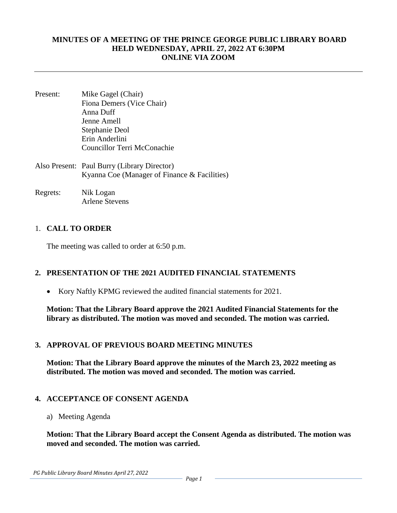#### **MINUTES OF A MEETING OF THE PRINCE GEORGE PUBLIC LIBRARY BOARD HELD WEDNESDAY, APRIL 27, 2022 AT 6:30PM ONLINE VIA ZOOM**

- Present: Mike Gagel (Chair) Fiona Demers (Vice Chair) Anna Duff Jenne Amell Stephanie Deol Erin Anderlini Councillor Terri McConachie Also Present: Paul Burry (Library Director) Kyanna Coe (Manager of Finance & Facilities)
- Regrets: Nik Logan Arlene Stevens

### 1. **CALL TO ORDER**

The meeting was called to order at 6:50 p.m.

### **2. PRESENTATION OF THE 2021 AUDITED FINANCIAL STATEMENTS**

• Kory Naftly KPMG reviewed the audited financial statements for 2021.

**Motion: That the Library Board approve the 2021 Audited Financial Statements for the library as distributed. The motion was moved and seconded. The motion was carried.** 

### **3. APPROVAL OF PREVIOUS BOARD MEETING MINUTES**

**Motion: That the Library Board approve the minutes of the March 23, 2022 meeting as distributed. The motion was moved and seconded. The motion was carried.** 

### **4. ACCEPTANCE OF CONSENT AGENDA**

a) Meeting Agenda

**Motion: That the Library Board accept the Consent Agenda as distributed. The motion was moved and seconded. The motion was carried.**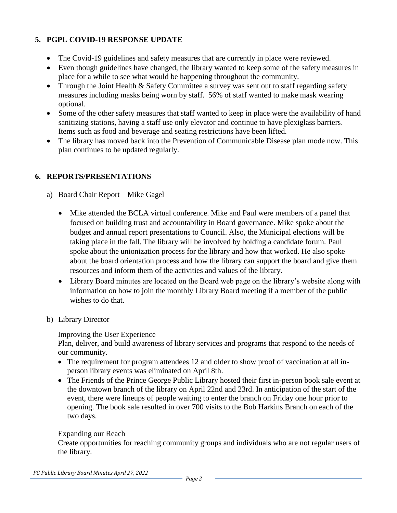# **5. PGPL COVID-19 RESPONSE UPDATE**

- The Covid-19 guidelines and safety measures that are currently in place were reviewed.
- Even though guidelines have changed, the library wanted to keep some of the safety measures in place for a while to see what would be happening throughout the community.
- Through the Joint Health & Safety Committee a survey was sent out to staff regarding safety measures including masks being worn by staff. 56% of staff wanted to make mask wearing optional.
- Some of the other safety measures that staff wanted to keep in place were the availability of hand sanitizing stations, having a staff use only elevator and continue to have plexiglass barriers. Items such as food and beverage and seating restrictions have been lifted.
- The library has moved back into the Prevention of Communicable Disease plan mode now. This plan continues to be updated regularly.

# **6. REPORTS/PRESENTATIONS**

- a) Board Chair Report Mike Gagel
	- Mike attended the BCLA virtual conference. Mike and Paul were members of a panel that focused on building trust and accountability in Board governance. Mike spoke about the budget and annual report presentations to Council. Also, the Municipal elections will be taking place in the fall. The library will be involved by holding a candidate forum. Paul spoke about the unionization process for the library and how that worked. He also spoke about the board orientation process and how the library can support the board and give them resources and inform them of the activities and values of the library.
	- Library Board minutes are located on the Board web page on the library's website along with information on how to join the monthly Library Board meeting if a member of the public wishes to do that.
- b) Library Director

### Improving the User Experience

Plan, deliver, and build awareness of library services and programs that respond to the needs of our community.

- The requirement for program attendees 12 and older to show proof of vaccination at all inperson library events was eliminated on April 8th.
- The Friends of the Prince George Public Library hosted their first in-person book sale event at the downtown branch of the library on April 22nd and 23rd. In anticipation of the start of the event, there were lineups of people waiting to enter the branch on Friday one hour prior to opening. The book sale resulted in over 700 visits to the Bob Harkins Branch on each of the two days.

## Expanding our Reach

Create opportunities for reaching community groups and individuals who are not regular users of the library.

*PG Public Library Board Minutes April 27, 2022*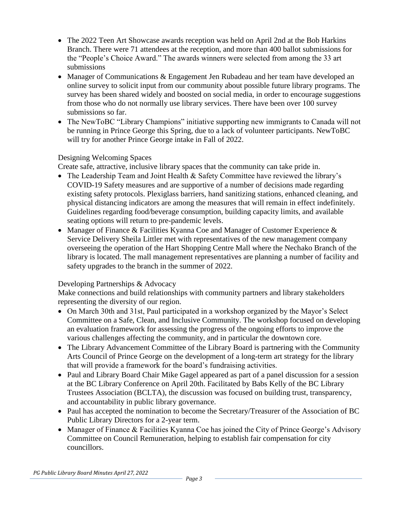- The 2022 Teen Art Showcase awards reception was held on April 2nd at the Bob Harkins Branch. There were 71 attendees at the reception, and more than 400 ballot submissions for the "People's Choice Award." The awards winners were selected from among the 33 art submissions
- Manager of Communications & Engagement Jen Rubadeau and her team have developed an online survey to solicit input from our community about possible future library programs. The survey has been shared widely and boosted on social media, in order to encourage suggestions from those who do not normally use library services. There have been over 100 survey submissions so far.
- The NewToBC "Library Champions" initiative supporting new immigrants to Canada will not be running in Prince George this Spring, due to a lack of volunteer participants. NewToBC will try for another Prince George intake in Fall of 2022.

## Designing Welcoming Spaces

Create safe, attractive, inclusive library spaces that the community can take pride in.

- The Leadership Team and Joint Health & Safety Committee have reviewed the library's COVID-19 Safety measures and are supportive of a number of decisions made regarding existing safety protocols. Plexiglass barriers, hand sanitizing stations, enhanced cleaning, and physical distancing indicators are among the measures that will remain in effect indefinitely. Guidelines regarding food/beverage consumption, building capacity limits, and available seating options will return to pre-pandemic levels.
- Manager of Finance & Facilities Kyanna Coe and Manager of Customer Experience & Service Delivery Sheila Littler met with representatives of the new management company overseeing the operation of the Hart Shopping Centre Mall where the Nechako Branch of the library is located. The mall management representatives are planning a number of facility and safety upgrades to the branch in the summer of 2022.

## Developing Partnerships & Advocacy

Make connections and build relationships with community partners and library stakeholders representing the diversity of our region.

- On March 30th and 31st, Paul participated in a workshop organized by the Mayor's Select Committee on a Safe, Clean, and Inclusive Community. The workshop focused on developing an evaluation framework for assessing the progress of the ongoing efforts to improve the various challenges affecting the community, and in particular the downtown core.
- The Library Advancement Committee of the Library Board is partnering with the Community Arts Council of Prince George on the development of a long-term art strategy for the library that will provide a framework for the board's fundraising activities.
- Paul and Library Board Chair Mike Gagel appeared as part of a panel discussion for a session at the BC Library Conference on April 20th. Facilitated by Babs Kelly of the BC Library Trustees Association (BCLTA), the discussion was focused on building trust, transparency, and accountability in public library governance.
- Paul has accepted the nomination to become the Secretary/Treasurer of the Association of BC Public Library Directors for a 2-year term.
- Manager of Finance & Facilities Kyanna Coe has joined the City of Prince George's Advisory Committee on Council Remuneration, helping to establish fair compensation for city councillors.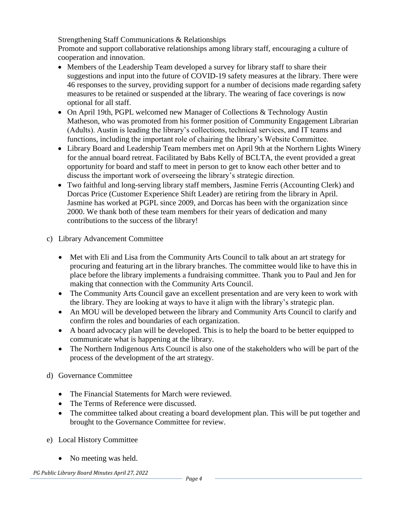Strengthening Staff Communications & Relationships

Promote and support collaborative relationships among library staff, encouraging a culture of cooperation and innovation.

- Members of the Leadership Team developed a survey for library staff to share their suggestions and input into the future of COVID-19 safety measures at the library. There were 46 responses to the survey, providing support for a number of decisions made regarding safety measures to be retained or suspended at the library. The wearing of face coverings is now optional for all staff.
- On April 19th, PGPL welcomed new Manager of Collections & Technology Austin Matheson, who was promoted from his former position of Community Engagement Librarian (Adults). Austin is leading the library's collections, technical services, and IT teams and functions, including the important role of chairing the library's Website Committee.
- Library Board and Leadership Team members met on April 9th at the Northern Lights Winery for the annual board retreat. Facilitated by Babs Kelly of BCLTA, the event provided a great opportunity for board and staff to meet in person to get to know each other better and to discuss the important work of overseeing the library's strategic direction.
- Two faithful and long-serving library staff members, Jasmine Ferris (Accounting Clerk) and Dorcas Price (Customer Experience Shift Leader) are retiring from the library in April. Jasmine has worked at PGPL since 2009, and Dorcas has been with the organization since 2000. We thank both of these team members for their years of dedication and many contributions to the success of the library!
- c) Library Advancement Committee
	- Met with Eli and Lisa from the Community Arts Council to talk about an art strategy for procuring and featuring art in the library branches. The committee would like to have this in place before the library implements a fundraising committee. Thank you to Paul and Jen for making that connection with the Community Arts Council.
	- The Community Arts Council gave an excellent presentation and are very keen to work with the library. They are looking at ways to have it align with the library's strategic plan.
	- An MOU will be developed between the library and Community Arts Council to clarify and confirm the roles and boundaries of each organization.
	- A board advocacy plan will be developed. This is to help the board to be better equipped to communicate what is happening at the library.
	- The Northern Indigenous Arts Council is also one of the stakeholders who will be part of the process of the development of the art strategy.
- d) Governance Committee
	- The Financial Statements for March were reviewed.
	- The Terms of Reference were discussed.
	- The committee talked about creating a board development plan. This will be put together and brought to the Governance Committee for review.
- e) Local History Committee
	- No meeting was held.

*PG Public Library Board Minutes April 27, 2022*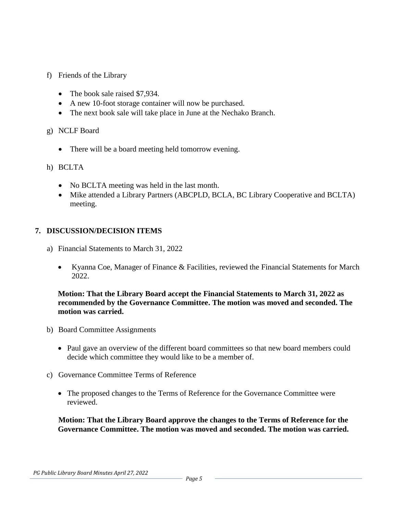- f) Friends of the Library
	- The book sale raised \$7,934.
	- A new 10-foot storage container will now be purchased.
	- The next book sale will take place in June at the Nechako Branch.
- g) NCLF Board
	- There will be a board meeting held tomorrow evening.

### h) BCLTA

- No BCLTA meeting was held in the last month.
- Mike attended a Library Partners (ABCPLD, BCLA, BC Library Cooperative and BCLTA) meeting.

### **7. DISCUSSION/DECISION ITEMS**

- a) Financial Statements to March 31, 2022
	- Kyanna Coe, Manager of Finance & Facilities, reviewed the Financial Statements for March 2022

### **Motion: That the Library Board accept the Financial Statements to March 31, 2022 as recommended by the Governance Committee. The motion was moved and seconded. The motion was carried.**

- b) Board Committee Assignments
	- Paul gave an overview of the different board committees so that new board members could decide which committee they would like to be a member of.
- c) Governance Committee Terms of Reference
	- The proposed changes to the Terms of Reference for the Governance Committee were reviewed.

**Motion: That the Library Board approve the changes to the Terms of Reference for the Governance Committee. The motion was moved and seconded. The motion was carried.**